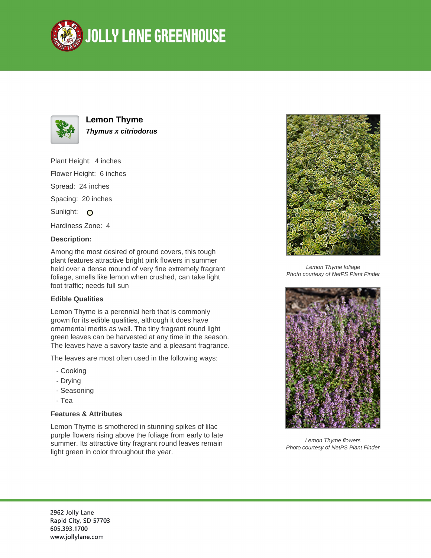



# **Lemon Thyme Thymus x citriodorus**

Plant Height: 4 inches Flower Height: 6 inches Spread: 24 inches Spacing: 20 inches Sunlight: O Hardiness Zone: 4

## **Description:**

Among the most desired of ground covers, this tough plant features attractive bright pink flowers in summer held over a dense mound of very fine extremely fragrant foliage, smells like lemon when crushed, can take light foot traffic; needs full sun

## **Edible Qualities**

Lemon Thyme is a perennial herb that is commonly grown for its edible qualities, although it does have ornamental merits as well. The tiny fragrant round light green leaves can be harvested at any time in the season. The leaves have a savory taste and a pleasant fragrance.

The leaves are most often used in the following ways:

- Cooking
- Drying
- Seasoning
- Tea

## **Features & Attributes**

Lemon Thyme is smothered in stunning spikes of lilac purple flowers rising above the foliage from early to late summer. Its attractive tiny fragrant round leaves remain light green in color throughout the year.



Lemon Thyme foliage Photo courtesy of NetPS Plant Finder



Lemon Thyme flowers Photo courtesy of NetPS Plant Finder

2962 Jolly Lane Rapid City, SD 57703 605.393.1700 www.jollylane.com